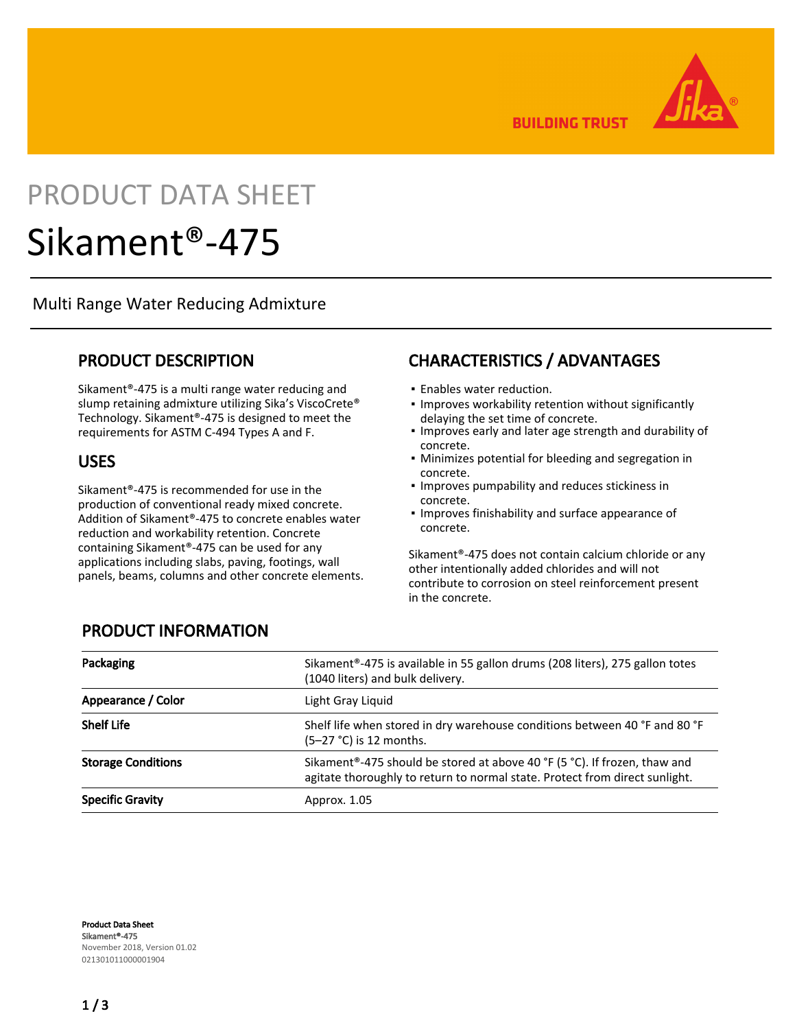**BUILDING TRUST** 



# PRODUCT DATA SHEET

## Sikament®-475

Multi Range Water Reducing Admixture

#### PRODUCT DESCRIPTION

Sikament®-475 is a multi range water reducing and slump retaining admixture utilizing Sika's ViscoCrete® Technology. Sikament®-475 is designed to meet the requirements for ASTM C-494 Types A and F.

#### USES

Sikament®-475 is recommended for use in the production of conventional ready mixed concrete. Addition of Sikament®-475 to concrete enables water reduction and workability retention. Concrete containing Sikament®-475 can be used for any applications including slabs, paving, footings, wall panels, beams, columns and other concrete elements.

## CHARACTERISTICS / ADVANTAGES

- **Enables water reduction.**
- **.** Improves workability retention without significantly delaying the set time of concrete.
- **.** Improves early and later age strength and durability of concrete.
- **Minimizes potential for bleeding and segregation in** concrete.
- **.** Improves pumpability and reduces stickiness in concrete.
- **.** Improves finishability and surface appearance of concrete.

Sikament®-475 does not contain calcium chloride or any other intentionally added chlorides and will not contribute to corrosion on steel reinforcement present in the concrete.

| Packaging                 | Sikament <sup>®</sup> -475 is available in 55 gallon drums (208 liters), 275 gallon totes<br>(1040 liters) and bulk delivery.                                         |
|---------------------------|-----------------------------------------------------------------------------------------------------------------------------------------------------------------------|
| Appearance / Color        | Light Gray Liquid                                                                                                                                                     |
| <b>Shelf Life</b>         | Shelf life when stored in dry warehouse conditions between 40 °F and 80 °F<br>$(5-27 °C)$ is 12 months.                                                               |
| <b>Storage Conditions</b> | Sikament <sup>®</sup> -475 should be stored at above 40 °F (5 °C). If frozen, thaw and<br>agitate thoroughly to return to normal state. Protect from direct sunlight. |
| <b>Specific Gravity</b>   | Approx. 1.05                                                                                                                                                          |

#### PRODUCT INFORMATION

Product Data Sheet Sikament®-475 November 2018, Version 01.02 021301011000001904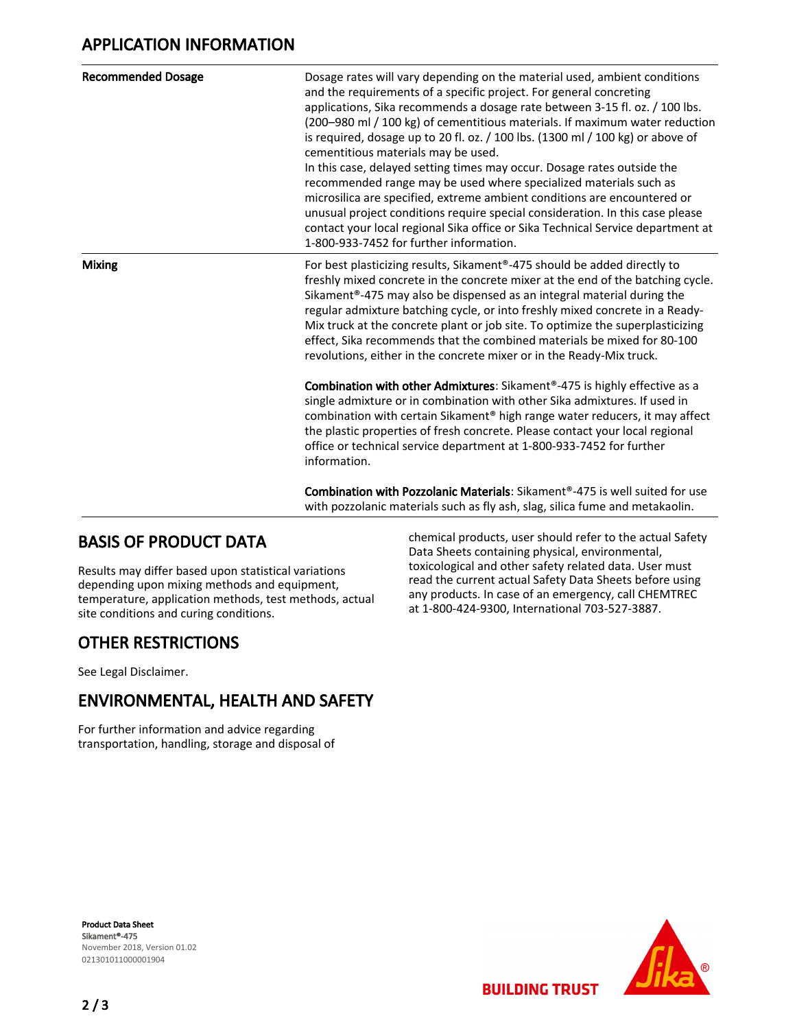### APPLICATION INFORMATION

| <b>Recommended Dosage</b> | Dosage rates will vary depending on the material used, ambient conditions<br>and the requirements of a specific project. For general concreting<br>applications, Sika recommends a dosage rate between 3-15 fl. oz. / 100 lbs.<br>(200-980 ml / 100 kg) of cementitious materials. If maximum water reduction<br>is required, dosage up to 20 fl. oz. / 100 lbs. (1300 ml / 100 kg) or above of<br>cementitious materials may be used.<br>In this case, delayed setting times may occur. Dosage rates outside the<br>recommended range may be used where specialized materials such as<br>microsilica are specified, extreme ambient conditions are encountered or<br>unusual project conditions require special consideration. In this case please<br>contact your local regional Sika office or Sika Technical Service department at<br>1-800-933-7452 for further information. |
|---------------------------|-----------------------------------------------------------------------------------------------------------------------------------------------------------------------------------------------------------------------------------------------------------------------------------------------------------------------------------------------------------------------------------------------------------------------------------------------------------------------------------------------------------------------------------------------------------------------------------------------------------------------------------------------------------------------------------------------------------------------------------------------------------------------------------------------------------------------------------------------------------------------------------|
| <b>Mixing</b>             | For best plasticizing results, Sikament®-475 should be added directly to<br>freshly mixed concrete in the concrete mixer at the end of the batching cycle.<br>Sikament®-475 may also be dispensed as an integral material during the<br>regular admixture batching cycle, or into freshly mixed concrete in a Ready-<br>Mix truck at the concrete plant or job site. To optimize the superplasticizing<br>effect, Sika recommends that the combined materials be mixed for 80-100<br>revolutions, either in the concrete mixer or in the Ready-Mix truck.                                                                                                                                                                                                                                                                                                                         |
|                           | Combination with other Admixtures: Sikament®-475 is highly effective as a<br>single admixture or in combination with other Sika admixtures. If used in<br>combination with certain Sikament® high range water reducers, it may affect<br>the plastic properties of fresh concrete. Please contact your local regional<br>office or technical service department at 1-800-933-7452 for further<br>information.                                                                                                                                                                                                                                                                                                                                                                                                                                                                     |
|                           | <b>Combination with Pozzolanic Materials:</b> Sikament <sup>®</sup> -475 is well suited for use<br>with pozzolanic materials such as fly ash, slag, silica fume and metakaolin.                                                                                                                                                                                                                                                                                                                                                                                                                                                                                                                                                                                                                                                                                                   |

#### BASIS OF PRODUCT DATA

Results may differ based upon statistical variations depending upon mixing methods and equipment, temperature, application methods, test methods, actual site conditions and curing conditions.

#### OTHER RESTRICTIONS

See Legal Disclaimer.

### ENVIRONMENTAL, HEALTH AND SAFETY

For further information and advice regarding transportation, handling, storage and disposal of chemical products, user should refer to the actual Safety Data Sheets containing physical, environmental, toxicological and other safety related data. User must read the current actual Safety Data Sheets before using any products. In case of an emergency, call CHEMTREC at 1-800-424-9300, International 703-527-3887.

**BUILDING TRUST**